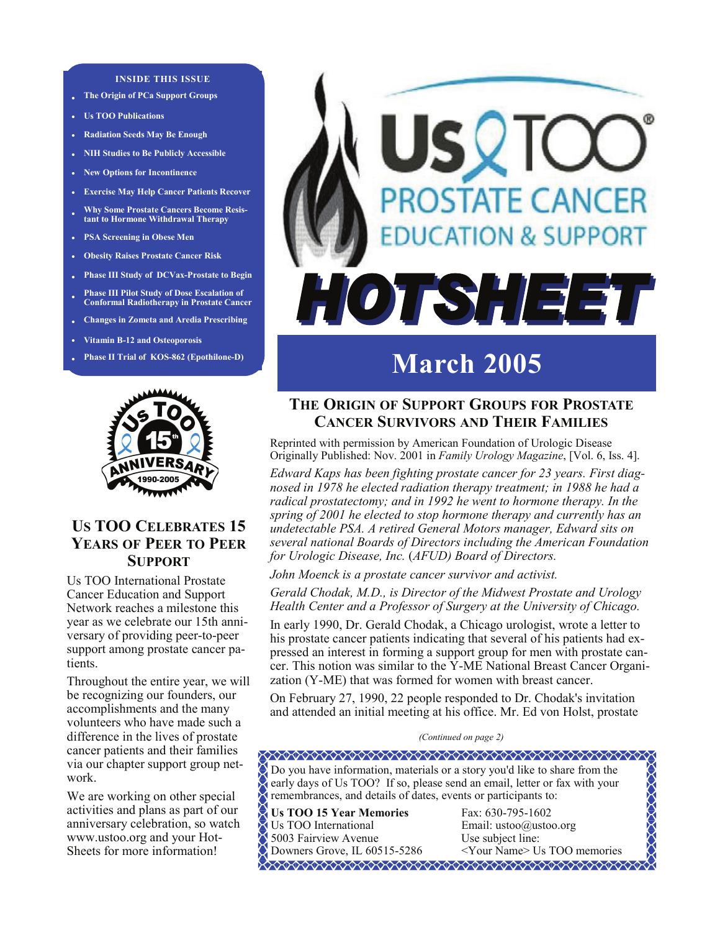### **INSIDE THIS ISSUE**

- **The Origin of PCa Support Groups**
- **• Us TOO Publications**
- **• Radiation Seeds May Be Enough**
- **• NIH Studies to Be Publicly Accessible**
- **• New Options for Incontinence**
- **• Exercise May Help Cancer Patients Recover**
- **• Why Some Prostate Cancers Become Resis-tant to Hormone Withdrawal Therapy**
- **• PSA Screening in Obese Men**
- **• Obesity Raises Prostate Cancer Risk**
- **• Phase III Study of DCVax-Prostate to Begin**
- **Phase III Pilot Study of Dose Escalation of Conformal Radiotherapy in Prostate Cancer**
- **Changes in Zometa and Aredia Prescribing**
- **• Vitamin B-12 and Osteoporosis**
- **• Phase II Trial of KOS-862 (Epothilone-D)**



### **US TOO CELEBRATES 15 YEARS OF PEER TO PEER SUPPORT**

Us TOO International Prostate Cancer Education and Support Network reaches a milestone this year as we celebrate our 15th anniversary of providing peer-to-peer support among prostate cancer patients.

Throughout the entire year, we will be recognizing our founders, our accomplishments and the many volunteers who have made such a difference in the lives of prostate cancer patients and their families via our chapter support group network.

We are working on other special activities and plans as part of our anniversary celebration, so watch www.ustoo.org and your Hot-Sheets for more information!



# **March 2005**

### **THE ORIGIN OF SUPPORT GROUPS FOR PROSTATE CANCER SURVIVORS AND THEIR FAMILIES**

Reprinted with permission by American Foundation of Urologic Disease Originally Published: Nov. 2001 in *Family Urology Magazine*, [Vol. 6, Iss. 4].

*Edward Kaps has been fighting prostate cancer for 23 years. First diagnosed in 1978 he elected radiation therapy treatment; in 1988 he had a radical prostatectomy; and in 1992 he went to hormone therapy. In the spring of 2001 he elected to stop hormone therapy and currently has an undetectable PSA. A retired General Motors manager, Edward sits on several national Boards of Directors including the American Foundation for Urologic Disease, Inc.* (*AFUD) Board of Directors.* 

*John Moenck is a prostate cancer survivor and activist.* 

*Gerald Chodak, M.D., is Director of the Midwest Prostate and Urology Health Center and a Professor of Surgery at the University of Chicago.* 

In early 1990, Dr. Gerald Chodak, a Chicago urologist, wrote a letter to his prostate cancer patients indicating that several of his patients had expressed an interest in forming a support group for men with prostate cancer. This notion was similar to the Y-ME National Breast Cancer Organization (Y-ME) that was formed for women with breast cancer.

On February 27, 1990, 22 people responded to Dr. Chodak's invitation and attended an initial meeting at his office. Mr. Ed von Holst, prostate

### *(Continued on page 2)*

Do you have information, materials or a story you'd like to share from the early days of Us TOO? If so, please send an email, letter or fax with your remembrances, and details of dates, events or participants to:

**Us TOO 15 Year Memories** Fax: 630-795-1602 Us TOO International Email: ustoo@ustoo.org 5003 Fairview Avenue Use subject line:

Downers Grove, IL 60515-5286 <Your Name> Us TOO memories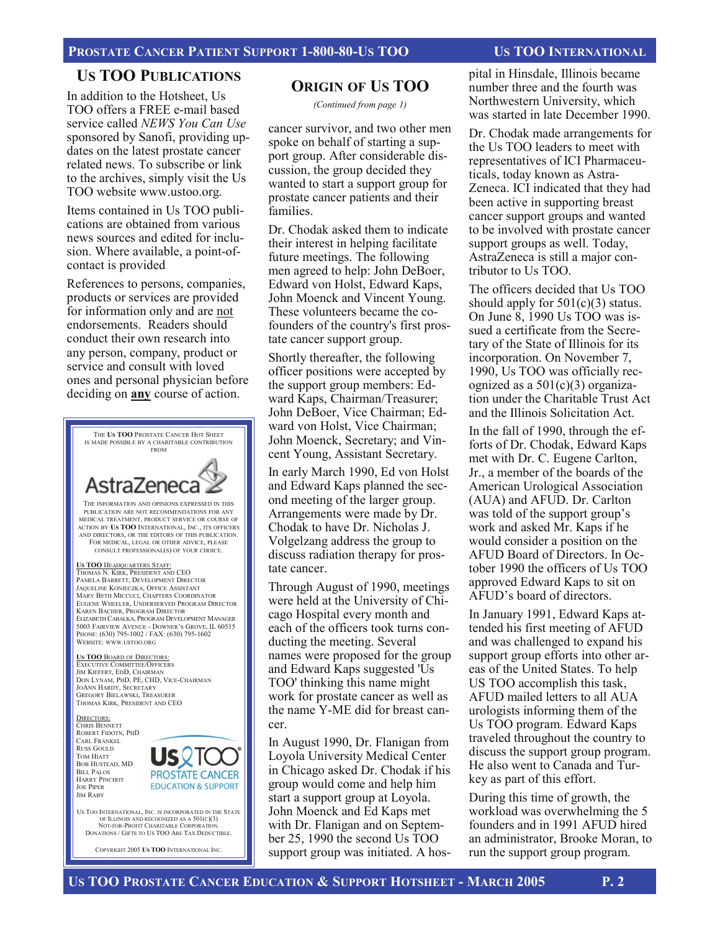### **US TOO PUBLICATIONS**

In addition to the Hotsheet, Us TOO offers a FREE e-mail based service called *NEWS You Can Use*  sponsored by Sanofi, providing updates on the latest prostate cancer related news. To subscribe or link to the archives, simply visit the Us TOO website www.ustoo.org.

Items contained in Us TOO publications are obtained from various news sources and edited for inclusion. Where available, a point-ofcontact is provided

References to persons, companies, products or services are provided for information only and are not endorsements. Readers should conduct their own research into any person, company, product or service and consult with loved ones and personal physician before deciding on **any** course of action.



OF ILLINOIS AND RECOGNIZED AS A 501(C)(3) NOT-FOR-PROFIT CHARITABLE CORPORATION DONATIONS / GIFTS TO US TOO ARE TAX DEDUCTIBLE.

COPYRIGHT 2005 **US TOO** INTERNATIONAL INC.

### **ORIGIN OF US TOO**

*(Continued from page 1)* 

cancer survivor, and two other men spoke on behalf of starting a support group. After considerable discussion, the group decided they wanted to start a support group for prostate cancer patients and their families.

Dr. Chodak asked them to indicate their interest in helping facilitate future meetings. The following men agreed to help: John DeBoer, Edward von Holst, Edward Kaps, John Moenck and Vincent Young. These volunteers became the cofounders of the country's first prostate cancer support group.

Shortly thereafter, the following officer positions were accepted by the support group members: Edward Kaps, Chairman/Treasurer; John DeBoer, Vice Chairman; Edward von Holst, Vice Chairman; John Moenck, Secretary; and Vincent Young, Assistant Secretary.

In early March 1990, Ed von Holst and Edward Kaps planned the second meeting of the larger group. Arrangements were made by Dr. Chodak to have Dr. Nicholas J. Volgelzang address the group to discuss radiation therapy for prostate cancer.

Through August of 1990, meetings were held at the University of Chicago Hospital every month and each of the officers took turns conducting the meeting. Several names were proposed for the group and Edward Kaps suggested 'Us TOO' thinking this name might work for prostate cancer as well as the name Y-ME did for breast cancer.

In August 1990, Dr. Flanigan from Loyola University Medical Center in Chicago asked Dr. Chodak if his group would come and help him start a support group at Loyola. John Moenck and Ed Kaps met with Dr. Flanigan and on September 25, 1990 the second Us TOO support group was initiated. A hospital in Hinsdale, Illinois became number three and the fourth was Northwestern University, which was started in late December 1990.

Dr. Chodak made arrangements for the Us TOO leaders to meet with representatives of ICI Pharmaceuticals, today known as Astra-Zeneca. ICI indicated that they had been active in supporting breast cancer support groups and wanted to be involved with prostate cancer support groups as well. Today, AstraZeneca is still a major contributor to Us TOO.

The officers decided that Us TOO should apply for  $501(c)(3)$  status. On June 8, 1990 Us TOO was issued a certificate from the Secretary of the State of Illinois for its incorporation. On November 7, 1990, Us TOO was officially recognized as a 501(c)(3) organization under the Charitable Trust Act and the Illinois Solicitation Act.

In the fall of 1990, through the efforts of Dr. Chodak, Edward Kaps met with Dr. C. Eugene Carlton, Jr., a member of the boards of the American Urological Association (AUA) and AFUD. Dr. Carlton was told of the support group's work and asked Mr. Kaps if he would consider a position on the AFUD Board of Directors. In October 1990 the officers of Us TOO approved Edward Kaps to sit on AFUD's board of directors.

In January 1991, Edward Kaps attended his first meeting of AFUD and was challenged to expand his support group efforts into other areas of the United States. To help US TOO accomplish this task, AFUD mailed letters to all AUA urologists informing them of the Us TOO program. Edward Kaps traveled throughout the country to discuss the support group program. He also went to Canada and Turkey as part of this effort.

During this time of growth, the workload was overwhelming the 5 founders and in 1991 AFUD hired an administrator, Brooke Moran, to run the support group program.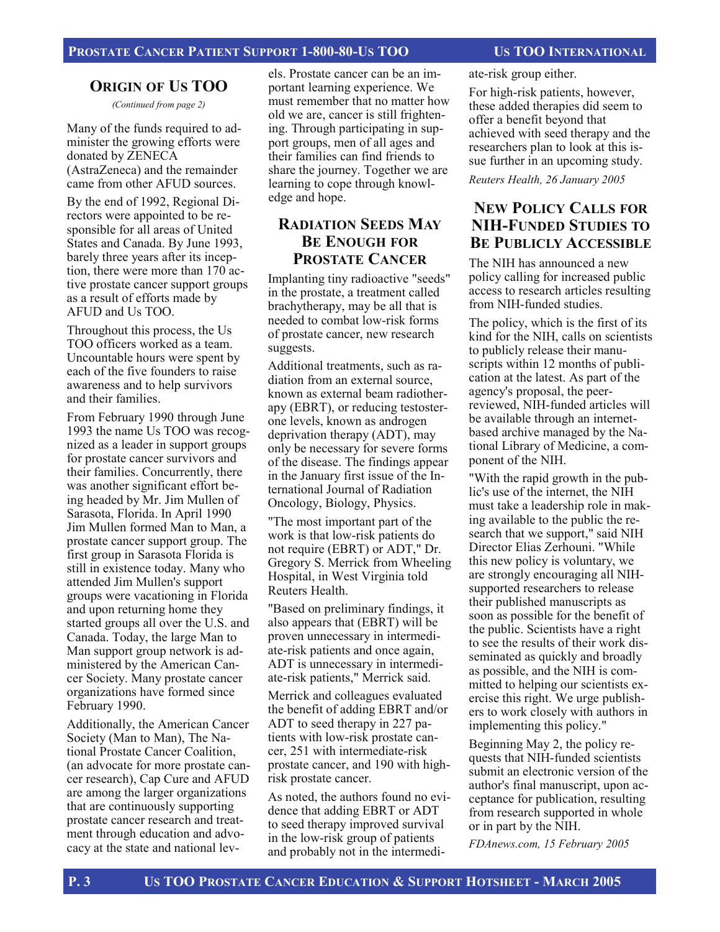### **ORIGIN OF US TOO**

*(Continued from page 2)* 

Many of the funds required to administer the growing efforts were donated by ZENECA (AstraZeneca) and the remainder came from other AFUD sources.

By the end of 1992, Regional Directors were appointed to be responsible for all areas of United States and Canada. By June 1993, barely three years after its inception, there were more than 170 active prostate cancer support groups as a result of efforts made by AFUD and Us TOO.

Throughout this process, the Us TOO officers worked as a team. Uncountable hours were spent by each of the five founders to raise awareness and to help survivors and their families.

From February 1990 through June 1993 the name Us TOO was recognized as a leader in support groups for prostate cancer survivors and their families. Concurrently, there was another significant effort being headed by Mr. Jim Mullen of Sarasota, Florida. In April 1990 Jim Mullen formed Man to Man, a prostate cancer support group. The first group in Sarasota Florida is still in existence today. Many who attended Jim Mullen's support groups were vacationing in Florida and upon returning home they started groups all over the U.S. and Canada. Today, the large Man to Man support group network is administered by the American Cancer Society. Many prostate cancer organizations have formed since February 1990.

Additionally, the American Cancer Society (Man to Man), The National Prostate Cancer Coalition, (an advocate for more prostate cancer research), Cap Cure and AFUD are among the larger organizations that are continuously supporting prostate cancer research and treatment through education and advocacy at the state and national levels. Prostate cancer can be an important learning experience. We must remember that no matter how old we are, cancer is still frightening. Through participating in support groups, men of all ages and their families can find friends to share the journey. Together we are learning to cope through knowledge and hope.

### **RADIATION SEEDS MAY BE ENOUGH FOR PROSTATE CANCER**

Implanting tiny radioactive "seeds" in the prostate, a treatment called brachytherapy, may be all that is needed to combat low-risk forms of prostate cancer, new research suggests.

Additional treatments, such as radiation from an external source, known as external beam radiotherapy (EBRT), or reducing testosterone levels, known as androgen deprivation therapy (ADT), may only be necessary for severe forms of the disease. The findings appear in the January first issue of the International Journal of Radiation Oncology, Biology, Physics.

"The most important part of the work is that low-risk patients do not require (EBRT) or ADT," Dr. Gregory S. Merrick from Wheeling Hospital, in West Virginia told Reuters Health.

"Based on preliminary findings, it also appears that (EBRT) will be proven unnecessary in intermediate-risk patients and once again, ADT is unnecessary in intermediate-risk patients," Merrick said.

Merrick and colleagues evaluated the benefit of adding EBRT and/or ADT to seed therapy in 227 patients with low-risk prostate cancer, 251 with intermediate-risk prostate cancer, and 190 with highrisk prostate cancer.

As noted, the authors found no evidence that adding EBRT or ADT to seed therapy improved survival in the low-risk group of patients and probably not in the intermedi-

ate-risk group either.

For high-risk patients, however, these added therapies did seem to offer a benefit beyond that achieved with seed therapy and the researchers plan to look at this issue further in an upcoming study.

*Reuters Health, 26 January 2005*

# **NEW POLICY CALLS FOR NIH-FUNDED STUDIES TO BE PUBLICLY ACCESSIBLE**

The NIH has announced a new policy calling for increased public access to research articles resulting from NIH-funded studies.

The policy, which is the first of its kind for the NIH, calls on scientists to publicly release their manuscripts within 12 months of publication at the latest. As part of the agency's proposal, the peerreviewed, NIH-funded articles will be available through an internetbased archive managed by the National Library of Medicine, a component of the NIH.

"With the rapid growth in the public's use of the internet, the NIH must take a leadership role in making available to the public the research that we support," said NIH Director Elias Zerhouni. "While this new policy is voluntary, we are strongly encouraging all NIHsupported researchers to release their published manuscripts as soon as possible for the benefit of the public. Scientists have a right to see the results of their work disseminated as quickly and broadly as possible, and the NIH is committed to helping our scientists exercise this right. We urge publishers to work closely with authors in implementing this policy."

Beginning May 2, the policy requests that NIH-funded scientists submit an electronic version of the author's final manuscript, upon acceptance for publication, resulting from research supported in whole or in part by the NIH.

*FDAnews.com, 15 February 2005*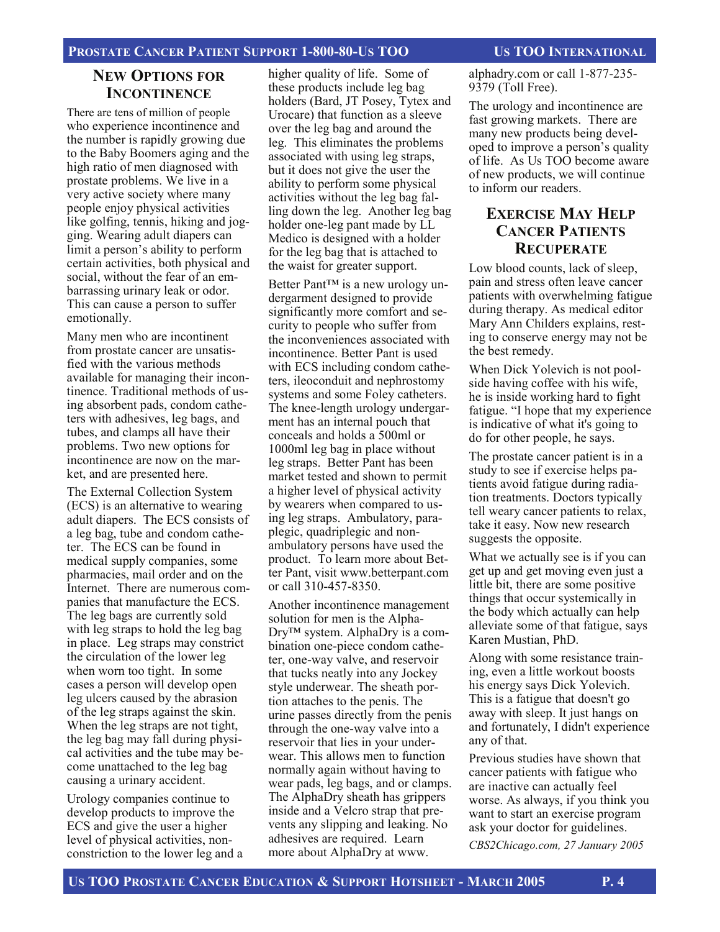### **NEW OPTIONS FOR INCONTINENCE**

There are tens of million of people who experience incontinence and the number is rapidly growing due to the Baby Boomers aging and the high ratio of men diagnosed with prostate problems. We live in a very active society where many people enjoy physical activities like golfing, tennis, hiking and jogging. Wearing adult diapers can limit a person's ability to perform certain activities, both physical and social, without the fear of an embarrassing urinary leak or odor. This can cause a person to suffer emotionally.

Many men who are incontinent from prostate cancer are unsatisfied with the various methods available for managing their incontinence. Traditional methods of using absorbent pads, condom catheters with adhesives, leg bags, and tubes, and clamps all have their problems. Two new options for incontinence are now on the market, and are presented here.

The External Collection System (ECS) is an alternative to wearing adult diapers. The ECS consists of a leg bag, tube and condom catheter. The ECS can be found in medical supply companies, some pharmacies, mail order and on the Internet. There are numerous companies that manufacture the ECS. The leg bags are currently sold with leg straps to hold the leg bag in place. Leg straps may constrict the circulation of the lower leg when worn too tight. In some cases a person will develop open leg ulcers caused by the abrasion of the leg straps against the skin. When the leg straps are not tight, the leg bag may fall during physical activities and the tube may become unattached to the leg bag causing a urinary accident.

Urology companies continue to develop products to improve the ECS and give the user a higher level of physical activities, nonconstriction to the lower leg and a higher quality of life. Some of these products include leg bag holders (Bard, JT Posey, Tytex and Urocare) that function as a sleeve over the leg bag and around the leg. This eliminates the problems associated with using leg straps, but it does not give the user the ability to perform some physical activities without the leg bag falling down the leg. Another leg bag holder one-leg pant made by LL Medico is designed with a holder for the leg bag that is attached to the waist for greater support.

Better Pant™ is a new urology undergarment designed to provide significantly more comfort and security to people who suffer from the inconveniences associated with incontinence. Better Pant is used with ECS including condom catheters, ileoconduit and nephrostomy systems and some Foley catheters. The knee-length urology undergarment has an internal pouch that conceals and holds a 500ml or 1000ml leg bag in place without leg straps. Better Pant has been market tested and shown to permit a higher level of physical activity by wearers when compared to using leg straps. Ambulatory, paraplegic, quadriplegic and nonambulatory persons have used the product. To learn more about Better Pant, visit www.betterpant.com or call 310-457-8350.

Another incontinence management solution for men is the Alpha-Dry™ system. AlphaDry is a combination one-piece condom catheter, one-way valve, and reservoir that tucks neatly into any Jockey style underwear. The sheath portion attaches to the penis. The urine passes directly from the penis through the one-way valve into a reservoir that lies in your underwear. This allows men to function normally again without having to wear pads, leg bags, and or clamps. The AlphaDry sheath has grippers inside and a Velcro strap that prevents any slipping and leaking. No adhesives are required. Learn more about AlphaDry at www.

alphadry.com or call 1-877-235- 9379 (Toll Free).

The urology and incontinence are fast growing markets. There are many new products being developed to improve a person's quality of life. As Us TOO become aware of new products, we will continue to inform our readers.

### **EXERCISE MAY HELP CANCER PATIENTS RECUPERATE**

Low blood counts, lack of sleep, pain and stress often leave cancer patients with overwhelming fatigue during therapy. As medical editor Mary Ann Childers explains, resting to conserve energy may not be the best remedy.

When Dick Yolevich is not poolside having coffee with his wife, he is inside working hard to fight fatigue. "I hope that my experience is indicative of what it's going to do for other people, he says.

The prostate cancer patient is in a study to see if exercise helps patients avoid fatigue during radiation treatments. Doctors typically tell weary cancer patients to relax, take it easy. Now new research suggests the opposite.

What we actually see is if you can get up and get moving even just a little bit, there are some positive things that occur systemically in the body which actually can help alleviate some of that fatigue, says Karen Mustian, PhD.

Along with some resistance training, even a little workout boosts his energy says Dick Yolevich. This is a fatigue that doesn't go away with sleep. It just hangs on and fortunately, I didn't experience any of that.

Previous studies have shown that cancer patients with fatigue who are inactive can actually feel worse. As always, if you think you want to start an exercise program ask your doctor for guidelines.

*CBS2Chicago.com, 27 January 2005*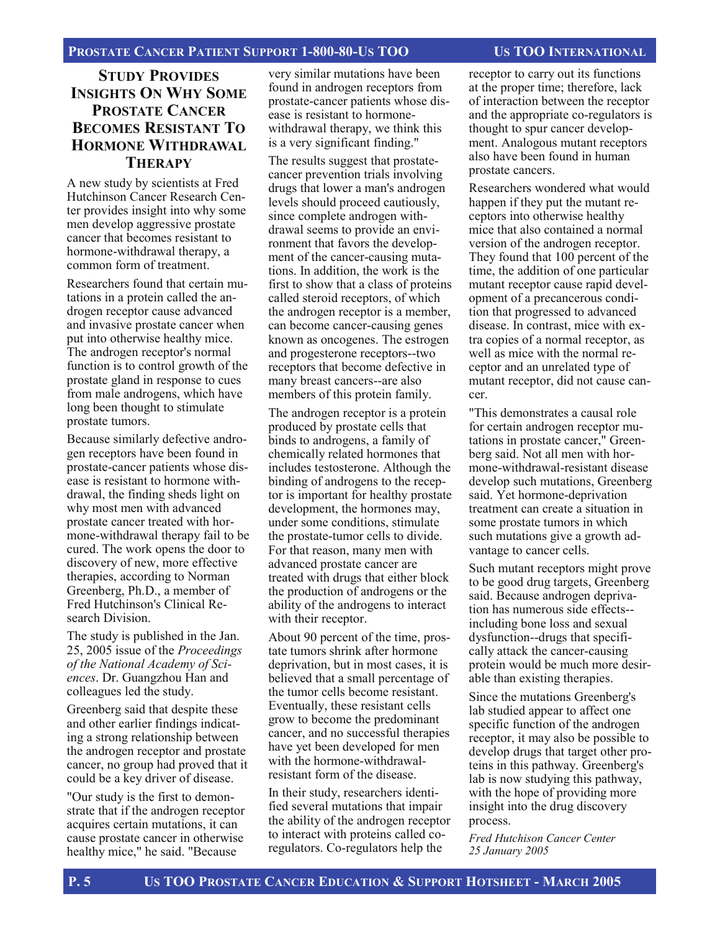### **PROSTATE CANCER PATIENT SUPPORT 1-800-80-US TOO US TOO INTERNATIONAL**

### **STUDY PROVIDES INSIGHTS ON WHY SOME PROSTATE CANCER BECOMES RESISTANT TO HORMONE WITHDRAWAL THERAPY**

A new study by scientists at Fred Hutchinson Cancer Research Center provides insight into why some men develop aggressive prostate cancer that becomes resistant to hormone-withdrawal therapy, a common form of treatment.

Researchers found that certain mutations in a protein called the androgen receptor cause advanced and invasive prostate cancer when put into otherwise healthy mice. The androgen receptor's normal function is to control growth of the prostate gland in response to cues from male androgens, which have long been thought to stimulate prostate tumors.

Because similarly defective androgen receptors have been found in prostate-cancer patients whose disease is resistant to hormone withdrawal, the finding sheds light on why most men with advanced prostate cancer treated with hormone-withdrawal therapy fail to be cured. The work opens the door to discovery of new, more effective therapies, according to Norman Greenberg, Ph.D., a member of Fred Hutchinson's Clinical Research Division.

The study is published in the Jan. 25, 2005 issue of the *Proceedings of the National Academy of Sciences*. Dr. Guangzhou Han and colleagues led the study.

Greenberg said that despite these and other earlier findings indicating a strong relationship between the androgen receptor and prostate cancer, no group had proved that it could be a key driver of disease.

"Our study is the first to demonstrate that if the androgen receptor acquires certain mutations, it can cause prostate cancer in otherwise healthy mice," he said. "Because

very similar mutations have been found in androgen receptors from prostate-cancer patients whose disease is resistant to hormonewithdrawal therapy, we think this is a very significant finding."

The results suggest that prostatecancer prevention trials involving drugs that lower a man's androgen levels should proceed cautiously, since complete androgen withdrawal seems to provide an environment that favors the development of the cancer-causing mutations. In addition, the work is the first to show that a class of proteins called steroid receptors, of which the androgen receptor is a member, can become cancer-causing genes known as oncogenes. The estrogen and progesterone receptors--two receptors that become defective in many breast cancers--are also members of this protein family.

The androgen receptor is a protein produced by prostate cells that binds to androgens, a family of chemically related hormones that includes testosterone. Although the binding of androgens to the receptor is important for healthy prostate development, the hormones may, under some conditions, stimulate the prostate-tumor cells to divide. For that reason, many men with advanced prostate cancer are treated with drugs that either block the production of androgens or the ability of the androgens to interact with their receptor.

About 90 percent of the time, prostate tumors shrink after hormone deprivation, but in most cases, it is believed that a small percentage of the tumor cells become resistant. Eventually, these resistant cells grow to become the predominant cancer, and no successful therapies have yet been developed for men with the hormone-withdrawalresistant form of the disease.

In their study, researchers identified several mutations that impair the ability of the androgen receptor to interact with proteins called coregulators. Co-regulators help the

receptor to carry out its functions at the proper time; therefore, lack of interaction between the receptor and the appropriate co-regulators is thought to spur cancer development. Analogous mutant receptors also have been found in human prostate cancers.

Researchers wondered what would happen if they put the mutant receptors into otherwise healthy mice that also contained a normal version of the androgen receptor. They found that 100 percent of the time, the addition of one particular mutant receptor cause rapid development of a precancerous condition that progressed to advanced disease. In contrast, mice with extra copies of a normal receptor, as well as mice with the normal receptor and an unrelated type of mutant receptor, did not cause cancer.

"This demonstrates a causal role for certain androgen receptor mutations in prostate cancer," Greenberg said. Not all men with hormone-withdrawal-resistant disease develop such mutations, Greenberg said. Yet hormone-deprivation treatment can create a situation in some prostate tumors in which such mutations give a growth advantage to cancer cells.

Such mutant receptors might prove to be good drug targets, Greenberg said. Because androgen deprivation has numerous side effects- including bone loss and sexual dysfunction--drugs that specifically attack the cancer-causing protein would be much more desirable than existing therapies.

Since the mutations Greenberg's lab studied appear to affect one specific function of the androgen receptor, it may also be possible to develop drugs that target other proteins in this pathway. Greenberg's lab is now studying this pathway, with the hope of providing more insight into the drug discovery process.

*Fred Hutchison Cancer Center 25 January 2005*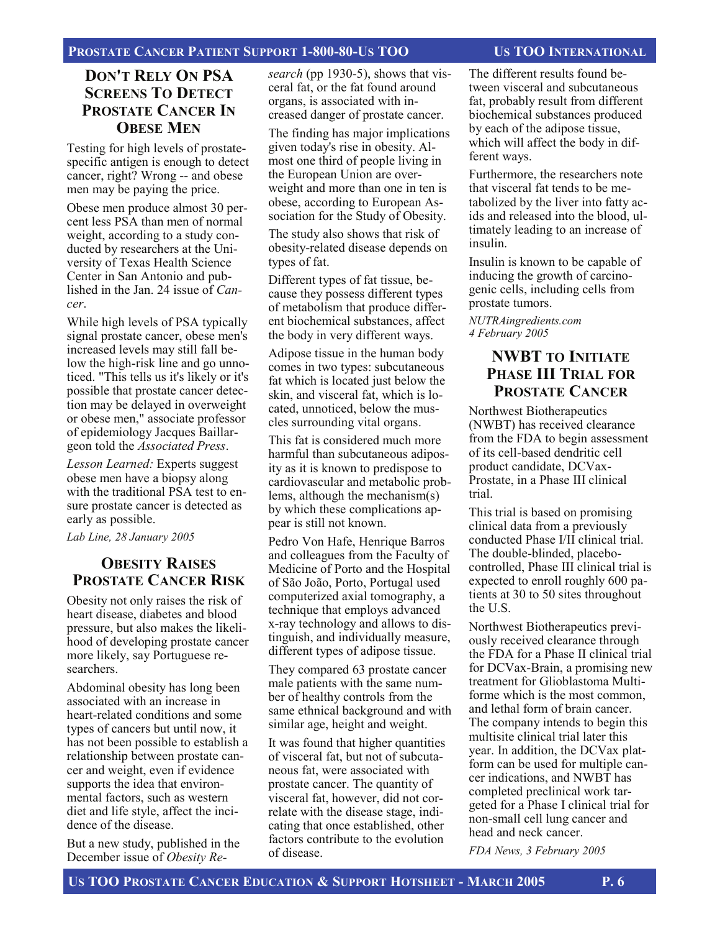### **PROSTATE CANCER PATIENT SUPPORT 1-800-80-US TOO US TOO INTERNATIONAL**

### **DON'T RELY ON PSA SCREENS TO DETECT PROSTATE CANCER IN OBESE MEN**

Testing for high levels of prostatespecific antigen is enough to detect cancer, right? Wrong -- and obese men may be paying the price.

Obese men produce almost 30 percent less PSA than men of normal weight, according to a study conducted by researchers at the University of Texas Health Science Center in San Antonio and published in the Jan. 24 issue of *Cancer*.

While high levels of PSA typically signal prostate cancer, obese men's increased levels may still fall below the high-risk line and go unnoticed. "This tells us it's likely or it's possible that prostate cancer detection may be delayed in overweight or obese men," associate professor of epidemiology Jacques Baillargeon told the *Associated Press*.

*Lesson Learned:* Experts suggest obese men have a biopsy along with the traditional PSA test to ensure prostate cancer is detected as early as possible.

*Lab Line, 28 January 2005* 

# **OBESITY RAISES PROSTATE CANCER RISK**

Obesity not only raises the risk of heart disease, diabetes and blood pressure, but also makes the likelihood of developing prostate cancer more likely, say Portuguese researchers.

Abdominal obesity has long been associated with an increase in heart-related conditions and some types of cancers but until now, it has not been possible to establish a relationship between prostate cancer and weight, even if evidence supports the idea that environmental factors, such as western diet and life style, affect the incidence of the disease.

But a new study, published in the December issue of *Obesity Re-* *search* (pp 1930-5), shows that visceral fat, or the fat found around organs, is associated with increased danger of prostate cancer.

The finding has major implications given today's rise in obesity. Almost one third of people living in the European Union are overweight and more than one in ten is obese, according to European Association for the Study of Obesity.

The study also shows that risk of obesity-related disease depends on types of fat.

Different types of fat tissue, because they possess different types of metabolism that produce different biochemical substances, affect the body in very different ways.

Adipose tissue in the human body comes in two types: subcutaneous fat which is located just below the skin, and visceral fat, which is located, unnoticed, below the muscles surrounding vital organs.

This fat is considered much more harmful than subcutaneous adiposity as it is known to predispose to cardiovascular and metabolic problems, although the mechanism(s) by which these complications appear is still not known.

Pedro Von Hafe, Henrique Barros and colleagues from the Faculty of Medicine of Porto and the Hospital of São João, Porto, Portugal used computerized axial tomography, a technique that employs advanced x-ray technology and allows to distinguish, and individually measure, different types of adipose tissue.

They compared 63 prostate cancer male patients with the same number of healthy controls from the same ethnical background and with similar age, height and weight.

It was found that higher quantities of visceral fat, but not of subcutaneous fat, were associated with prostate cancer. The quantity of visceral fat, however, did not correlate with the disease stage, indicating that once established, other factors contribute to the evolution of disease.

The different results found between visceral and subcutaneous fat, probably result from different biochemical substances produced by each of the adipose tissue, which will affect the body in different ways.

Furthermore, the researchers note that visceral fat tends to be metabolized by the liver into fatty acids and released into the blood, ultimately leading to an increase of insulin.

Insulin is known to be capable of inducing the growth of carcinogenic cells, including cells from prostate tumors.

*NUTRAingredients.com 4 February 2005* 

## **NWBT TO INITIATE PHASE III TRIAL FOR PROSTATE CANCER**

Northwest Biotherapeutics (NWBT) has received clearance from the FDA to begin assessment of its cell-based dendritic cell product candidate, DCVax-Prostate, in a Phase III clinical trial.

This trial is based on promising clinical data from a previously conducted Phase I/II clinical trial. The double-blinded, placebocontrolled, Phase III clinical trial is expected to enroll roughly 600 patients at 30 to 50 sites throughout the U.S.

Northwest Biotherapeutics previously received clearance through the FDA for a Phase II clinical trial for DCVax-Brain, a promising new treatment for Glioblastoma Multiforme which is the most common, and lethal form of brain cancer. The company intends to begin this multisite clinical trial later this year. In addition, the DCVax platform can be used for multiple cancer indications, and NWBT has completed preclinical work targeted for a Phase I clinical trial for non-small cell lung cancer and head and neck cancer.

*FDA News, 3 February 2005*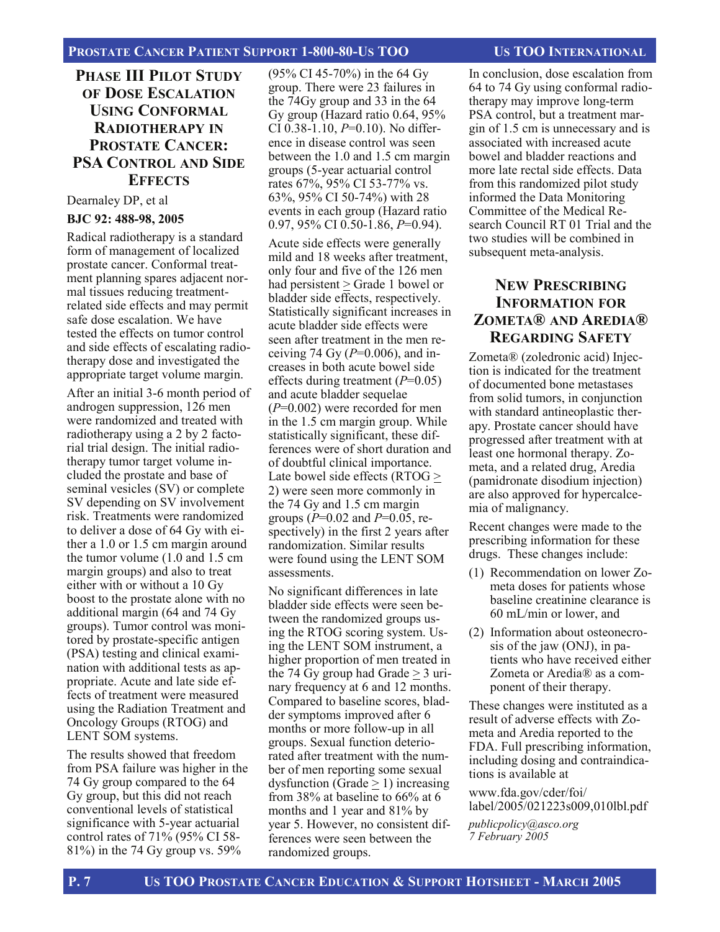### **PHASE III PILOT STUDY OF DOSE ESCALATION USING CONFORMAL RADIOTHERAPY IN PROSTATE CANCER: PSA CONTROL AND SIDE EFFECTS**

Dearnaley DP, et al

### **BJC 92: 488-98, 2005**

Radical radiotherapy is a standard form of management of localized prostate cancer. Conformal treatment planning spares adjacent normal tissues reducing treatmentrelated side effects and may permit safe dose escalation. We have tested the effects on tumor control and side effects of escalating radiotherapy dose and investigated the appropriate target volume margin.

After an initial 3-6 month period of androgen suppression, 126 men were randomized and treated with radiotherapy using a 2 by 2 factorial trial design. The initial radiotherapy tumor target volume included the prostate and base of seminal vesicles (SV) or complete SV depending on SV involvement risk. Treatments were randomized to deliver a dose of 64 Gy with either a 1.0 or 1.5 cm margin around the tumor volume (1.0 and 1.5 cm margin groups) and also to treat either with or without a 10 Gy boost to the prostate alone with no additional margin (64 and 74 Gy groups). Tumor control was monitored by prostate-specific antigen (PSA) testing and clinical examination with additional tests as appropriate. Acute and late side effects of treatment were measured using the Radiation Treatment and Oncology Groups (RTOG) and LENT SOM systems.

The results showed that freedom from PSA failure was higher in the 74 Gy group compared to the 64 Gy group, but this did not reach conventional levels of statistical significance with 5-year actuarial control rates of 71% (95% CI 58- 81%) in the 74 Gy group vs. 59%

(95% CI 45-70%) in the 64 Gy group. There were 23 failures in the 74Gy group and 33 in the 64 Gy group (Hazard ratio 0.64, 95% CI 0.38-1.10, *P*=0.10). No difference in disease control was seen between the 1.0 and 1.5 cm margin groups (5-year actuarial control rates 67%, 95% CI 53-77% vs. 63%, 95% CI 50-74%) with 28 events in each group (Hazard ratio 0.97, 95% CI 0.50-1.86, *P*=0.94).

Acute side effects were generally mild and 18 weeks after treatment, only four and five of the 126 men had persistent  $\geq$  Grade 1 bowel or bladder side effects, respectively. Statistically significant increases in acute bladder side effects were seen after treatment in the men receiving 74 Gy (*P*=0.006), and increases in both acute bowel side effects during treatment (*P*=0.05) and acute bladder sequelae (*P*=0.002) were recorded for men in the 1.5 cm margin group. While statistically significant, these differences were of short duration and of doubtful clinical importance. Late bowel side effects (RTOG > 2) were seen more commonly in the 74 Gy and 1.5 cm margin groups (*P*=0.02 and *P*=0.05, respectively) in the first 2 years after randomization. Similar results were found using the LENT SOM assessments.

No significant differences in late bladder side effects were seen between the randomized groups using the RTOG scoring system. Using the LENT SOM instrument, a higher proportion of men treated in the 74 Gy group had Grade  $\geq$  3 urinary frequency at 6 and 12 months. Compared to baseline scores, bladder symptoms improved after 6 months or more follow-up in all groups. Sexual function deteriorated after treatment with the number of men reporting some sexual dysfunction (Grade  $> 1$ ) increasing from 38% at baseline to 66% at 6 months and 1 year and 81% by year 5. However, no consistent differences were seen between the randomized groups.

In conclusion, dose escalation from 64 to 74 Gy using conformal radiotherapy may improve long-term PSA control, but a treatment margin of 1.5 cm is unnecessary and is associated with increased acute bowel and bladder reactions and more late rectal side effects. Data from this randomized pilot study informed the Data Monitoring Committee of the Medical Research Council RT 01 Trial and the two studies will be combined in subsequent meta-analysis.

## **NEW PRESCRIBING INFORMATION FOR ZOMETA® AND AREDIA® REGARDING SAFETY**

Zometa® (zoledronic acid) Injection is indicated for the treatment of documented bone metastases from solid tumors, in conjunction with standard antineoplastic therapy. Prostate cancer should have progressed after treatment with at least one hormonal therapy. Zometa, and a related drug, Aredia (pamidronate disodium injection) are also approved for hypercalcemia of malignancy.

Recent changes were made to the prescribing information for these drugs. These changes include:

- (1) Recommendation on lower Zometa doses for patients whose baseline creatinine clearance is 60 mL/min or lower, and
- (2) Information about osteonecrosis of the jaw (ONJ), in patients who have received either Zometa or Aredia® as a component of their therapy.

These changes were instituted as a result of adverse effects with Zometa and Aredia reported to the FDA. Full prescribing information, including dosing and contraindications is available at

www.fda.gov/cder/foi/ label/2005/021223s009,010lbl.pdf

*publicpolicy@asco.org 7 February 2005*